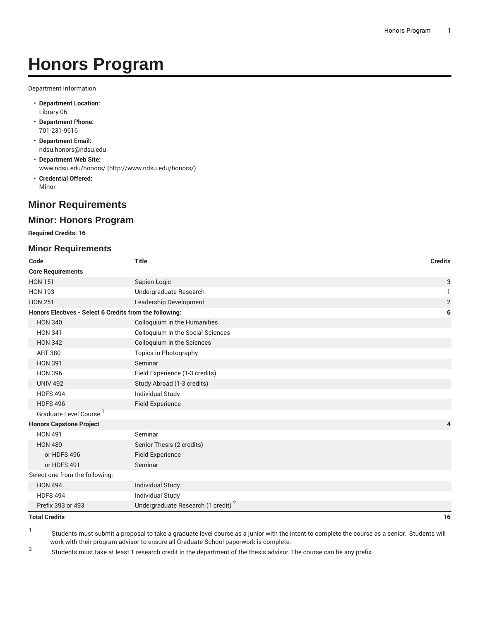# **Honors Program**

Department Information

- **Department Location:** Library 06
- **Department Phone:** 701-231-9616
- **Department Email:** [ndsu.honors@ndsu.edu](mailto:ndsu.honors@ndsu.edu)
- **Department Web Site:** [www.ndsu.edu/honors/ \(http://www.ndsu.edu/honors/](http://www.ndsu.edu/honors/))
- **Credential Offered:** Minor

## **Minor Requirements**

#### **Minor: Honors Program**

**Required Credits: 16**

#### **Minor Requirements**

| Code                                                    | <b>Title</b>                                   | <b>Credits</b> |
|---------------------------------------------------------|------------------------------------------------|----------------|
| <b>Core Requirements</b>                                |                                                |                |
| <b>HON 151</b>                                          | Sapien Logic                                   | 3              |
| <b>HON 193</b>                                          | Undergraduate Research                         | 1              |
| <b>HON 251</b>                                          | Leadership Development                         | $\sqrt{2}$     |
| Honors Electives - Select 6 Credits from the following: |                                                | 6              |
| <b>HON 340</b>                                          | Colloquium in the Humanities                   |                |
| <b>HON 341</b>                                          | <b>Colloquium in the Social Sciences</b>       |                |
| <b>HON 342</b>                                          | Colloquium in the Sciences                     |                |
| <b>ART 380</b>                                          | Topics in Photography                          |                |
| <b>HON 391</b>                                          | Seminar                                        |                |
| <b>HON 396</b>                                          | Field Experience (1-3 credits)                 |                |
| <b>UNIV 492</b>                                         | Study Abroad (1-3 credits)                     |                |
| <b>HDFS 494</b>                                         | <b>Individual Study</b>                        |                |
| <b>HDFS 496</b>                                         | <b>Field Experience</b>                        |                |
| Graduate Level Course                                   |                                                |                |
| <b>Honors Capstone Project</b>                          |                                                | 4              |
| <b>HON 491</b>                                          | Seminar                                        |                |
| <b>HON 489</b>                                          | Senior Thesis (2 credits)                      |                |
| or HDFS 496                                             | <b>Field Experience</b>                        |                |
| or HDFS 491                                             | Seminar                                        |                |
| Select one from the following:                          |                                                |                |
| <b>HON 494</b>                                          | <b>Individual Study</b>                        |                |
| <b>HDFS 494</b>                                         | <b>Individual Study</b>                        |                |
| Prefix 393 or 493                                       | Undergraduate Research (1 credit) <sup>2</sup> |                |

#### **Total Credits 16**

1 Students must submit a proposal to take a graduate level course as a junior with the intent to complete the course as a senior. Students will work with their program advisor to ensure all Graduate School paperwork is complete.

2 Students must take at least 1 research credit in the department of the thesis advisor. The course can be any prefix.